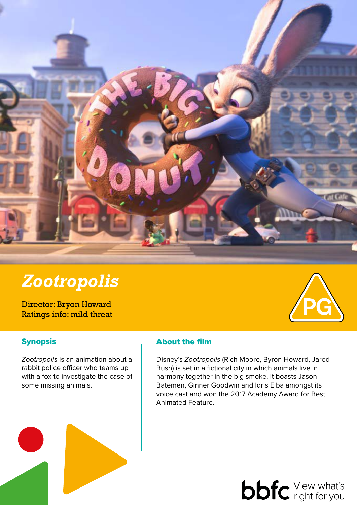

# *Zootropolis*

Director: Bryon Howard Ratings info: mild threat

## **Synopsis**

*Zootropolis* is an animation about a rabbit police officer who teams up with a fox to investigate the case of some missing animals.

## About the film

Disney's *Zootropolis* (Rich Moore, Byron Howard, Jared Bush) is set in a fictional city in which animals live in harmony together in the big smoke. It boasts Jason Batemen, Ginner Goodwin and Idris Elba amongst its voice cast and won the 2017 Academy Award for Best Animated Feature.

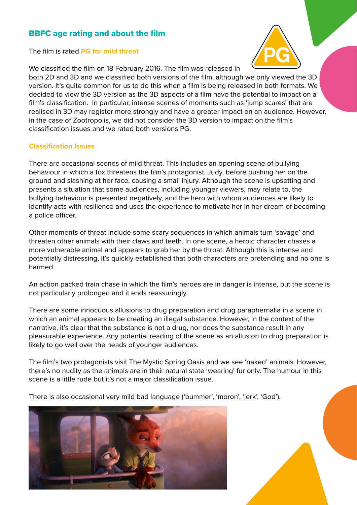### BBFC age rating and about the film

The film is rated **PG for mild threat**



We classified the film on 18 February 2016. The film was released in

both 2D and 3D and we classified both versions of the film, although we only viewed the 3D version. It's quite common for us to do this when a film is being released in both formats. We decided to view the 3D version as the 3D aspects of a film have the potential to impact on a film's classification. In particular, intense scenes of moments such as 'jump scares' that are realised in 3D may register more strongly and have a greater impact on an audience. However, in the case of Zootropolis, we did not consider the 3D version to impact on the film's classification issues and we rated both versions PG.

#### **Classification Issues**

There are occasional scenes of mild threat. This includes an opening scene of bullying behaviour in which a fox threatens the film's protagonist, Judy, before pushing her on the ground and slashing at her face, causing a small injury. Although the scene is upsetting and presents a situation that some audiences, including younger viewers, may relate to, the bullying behaviour is presented negatively, and the hero with whom audiences are likely to identify acts with resilience and uses the experience to motivate her in her dream of becoming a police officer.

Other moments of threat include some scary sequences in which animals turn 'savage' and threaten other animals with their claws and teeth. In one scene, a heroic character chases a more vulnerable animal and appears to grab her by the throat. Although this is intense and potentially distressing, it's quickly established that both characters are pretending and no one is harmed.

An action packed train chase in which the film's heroes are in danger is intense, but the scene is not particularly prolonged and it ends reassuringly.

There are some innocuous allusions to drug preparation and drug paraphernalia in a scene in which an animal appears to be creating an illegal substance. However, in the context of the narrative, it's clear that the substance is not a drug, nor does the substance result in any pleasurable experience. Any potential reading of the scene as an allusion to drug preparation is likely to go well over the heads of younger audiences.

The film's two protagonists visit The Mystic Spring Oasis and we see 'naked' animals. However, there's no nudity as the animals are in their natural state 'wearing' fur only. The humour in this scene is a little rude but it's not a major classification issue.

There is also occasional very mild bad language ('bummer', 'moron', 'jerk', 'God').